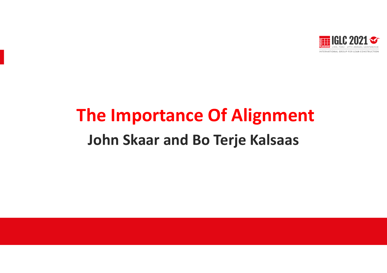

# **The Importance Of Alignment John Skaar and Bo Terje Kalsaas**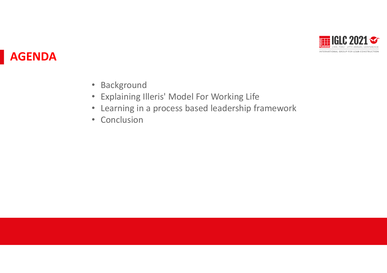

## **AGENDA**

- Background
- Explaining Illeris' Model For Working Life
- Learning in a process based leadership framework
- Conclusion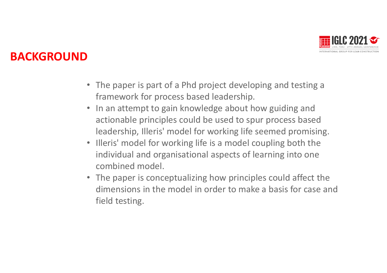

### **BACKGROUND**

- The paper is part of a Phd project developing and testing a framework for process based leadership.
- In an attempt to gain knowledge about how guiding and actionable principles could be used to spur process based leadership, Illeris' model for working life seemed promising.
- Illeris' model for working life is a model coupling both the individual and organisational aspects of learning into one combined model. Presentación Presentación Presentación Presentación Presentación Presentación Presentación Presentación Presentación Presentación Presentación Presentación Presentación Presentación Presentación Presentación Presentación P
- The paper is conceptualizing how principles could affect the dimensions in the model in order to make a basis for case and field testing.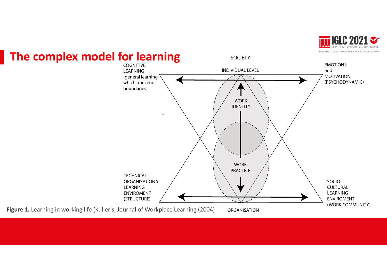



**The complex model for learning**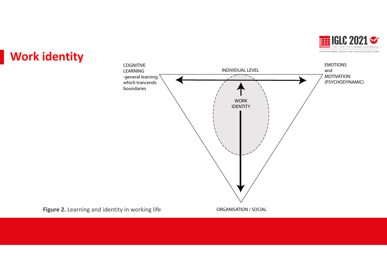

## **Work identity**

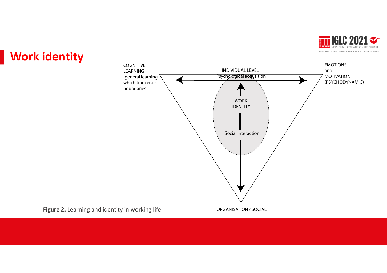

## **Work identity**

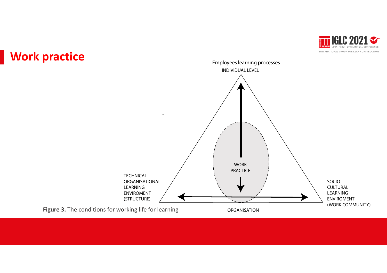



#### **Work practice**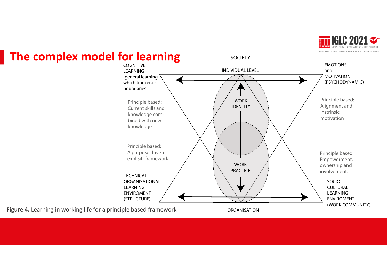

#### **The complex model for learning**



**Figure 4.** Learning in working life for a principle based framework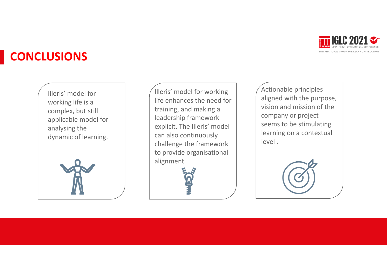

## **CONCLUSIONS**

Illeris' model for working life is a complex, but still applicable model for analysing the dynamic of learning.



Illeris' model for working life enhances the need for training, and making a leadership framework explicit. The Illeris' model can also continuously challenge the framework to provide organisational alignment.

Actionable principles aligned with the purpose, vision and mission of the company or project seems to be stimulating learning on a contextual level .